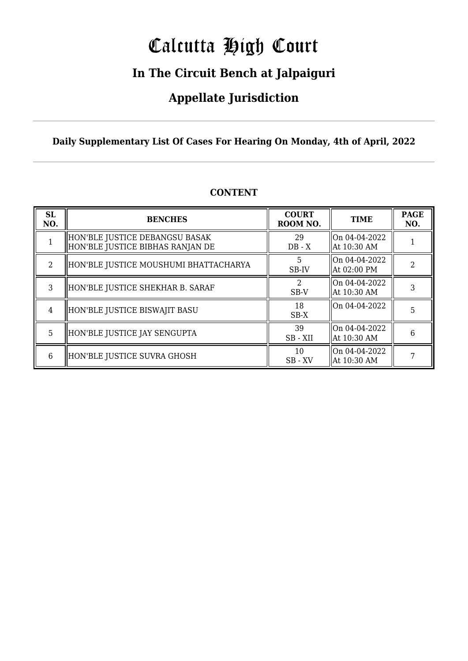# Calcutta High Court

### **In The Circuit Bench at Jalpaiguri**

### **Appellate Jurisdiction**

#### **Daily Supplementary List Of Cases For Hearing On Monday, 4th of April, 2022**

| <b>SL</b><br>NO. | <b>BENCHES</b>                                                       | <b>COURT</b><br>ROOM NO. | <b>TIME</b>                   | <b>PAGE</b><br>NO. |
|------------------|----------------------------------------------------------------------|--------------------------|-------------------------------|--------------------|
|                  | HON'BLE JUSTICE DEBANGSU BASAK<br>  HON'BLE JUSTICE BIBHAS RANJAN DE | 29<br>$DB - X$           | On 04-04-2022<br>At 10:30 AM  |                    |
| $2^{1}$          | HON'BLE JUSTICE MOUSHUMI BHATTACHARYA                                | 5<br>SB-IV               | On 04-04-2022<br>At 02:00 PM  | $\mathcal{D}$      |
| 3                | HON'BLE JUSTICE SHEKHAR B. SARAF                                     | $\mathcal{D}$<br>SB-V    | lOn 04-04-2022<br>At 10:30 AM | 3                  |
| $\overline{4}$   | HON'BLE JUSTICE BISWAJIT BASU                                        | 18<br>$SB-X$             | On 04-04-2022                 | 5                  |
| 5                | HON'BLE JUSTICE JAY SENGUPTA                                         | 39<br>SB - XII           | On 04-04-2022<br>At 10:30 AM  | 6                  |
| 6                | HON'BLE JUSTICE SUVRA GHOSH                                          | 10<br>SB - XV            | On 04-04-2022<br>At 10:30 AM  |                    |

#### **CONTENT**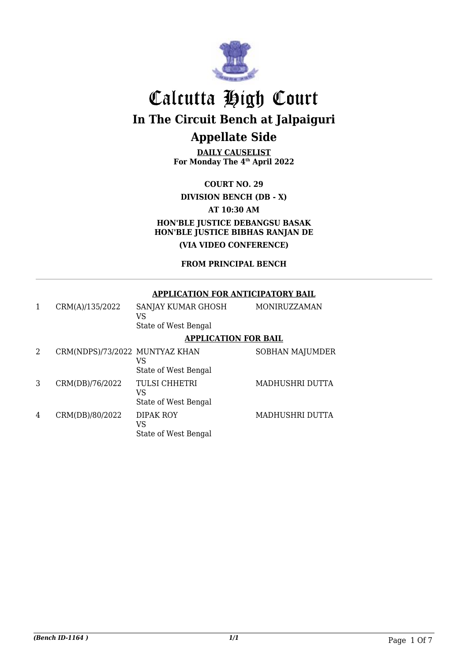

**DAILY CAUSELIST For Monday The 4th April 2022**

**COURT NO. 29 DIVISION BENCH (DB - X) AT 10:30 AM HON'BLE JUSTICE DEBANGSU BASAK HON'BLE JUSTICE BIBHAS RANJAN DE (VIA VIDEO CONFERENCE)**

#### **FROM PRINCIPAL BENCH**

#### **APPLICATION FOR ANTICIPATORY BAIL**

| 1 | CRM(A)/135/2022                | SANJAY KUMAR GHOSH<br>VS                           | MONIRUZZAMAN           |
|---|--------------------------------|----------------------------------------------------|------------------------|
|   |                                | State of West Bengal                               |                        |
|   |                                | <b>APPLICATION FOR BAIL</b>                        |                        |
| 2 | CRM(NDPS)/73/2022 MUNTYAZ KHAN | VS<br>State of West Bengal                         | <b>SOBHAN MAJUMDER</b> |
| 3 | CRM(DB)/76/2022                | <b>TULSI CHHETRI</b><br>VS<br>State of West Bengal | MADHUSHRI DUTTA        |
| 4 | CRM(DB)/80/2022                | DIPAK ROY<br>VS<br>State of West Bengal            | MADHUSHRI DUTTA        |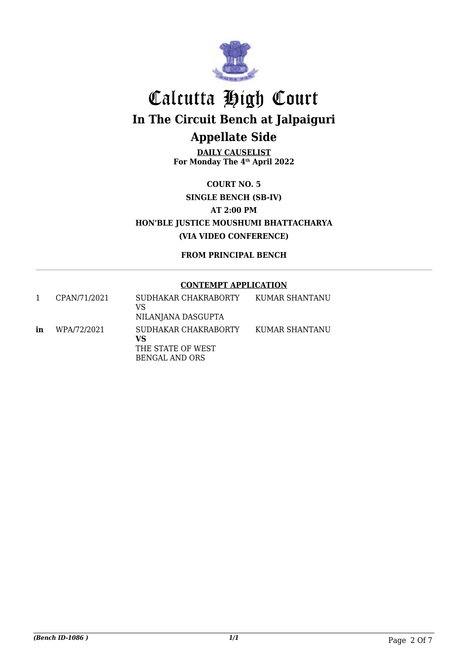

**DAILY CAUSELIST For Monday The 4th April 2022**

**COURT NO. 5 SINGLE BENCH (SB-IV) AT 2:00 PM HON'BLE JUSTICE MOUSHUMI BHATTACHARYA (VIA VIDEO CONFERENCE)**

**FROM PRINCIPAL BENCH**

#### **CONTEMPT APPLICATION**

|    | CPAN/71/2021 | SUDHAKAR CHAKRABORTY<br>VS<br>NILANJANA DASGUPTA                  | KUMAR SHANTANU |
|----|--------------|-------------------------------------------------------------------|----------------|
| in | WPA/72/2021  | SUDHAKAR CHAKRABORTY<br>VS<br>THE STATE OF WEST<br>BENGAL AND ORS | KUMAR SHANTANU |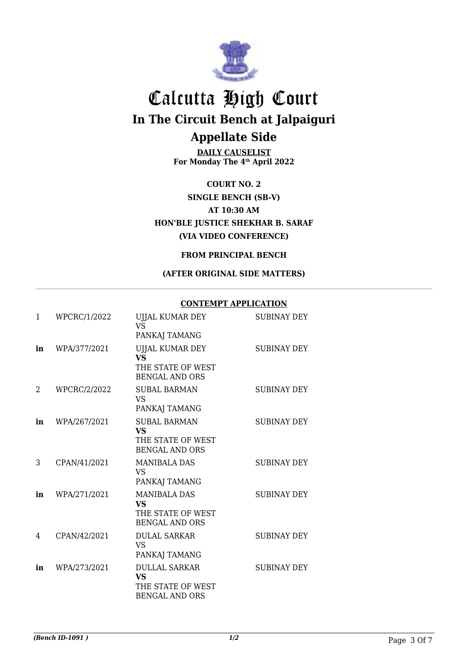

**DAILY CAUSELIST For Monday The 4th April 2022**

**COURT NO. 2 SINGLE BENCH (SB-V) AT 10:30 AM HON'BLE JUSTICE SHEKHAR B. SARAF (VIA VIDEO CONFERENCE)**

#### **FROM PRINCIPAL BENCH**

#### **(AFTER ORIGINAL SIDE MATTERS)**

#### **CONTEMPT APPLICATION**

| 1  | WPCRC/1/2022        | UJJAL KUMAR DEY<br><b>VS</b><br>PANKAJ TAMANG                                   | <b>SUBINAY DEY</b> |
|----|---------------------|---------------------------------------------------------------------------------|--------------------|
| in | WPA/377/2021        | UJJAL KUMAR DEY<br><b>VS</b><br>THE STATE OF WEST<br><b>BENGAL AND ORS</b>      | <b>SUBINAY DEY</b> |
| 2  | <b>WPCRC/2/2022</b> | <b>SUBAL BARMAN</b><br><b>VS</b><br>PANKAJ TAMANG                               | <b>SUBINAY DEY</b> |
| in | WPA/267/2021        | <b>SUBAL BARMAN</b><br><b>VS</b><br>THE STATE OF WEST<br><b>BENGAL AND ORS</b>  | <b>SUBINAY DEY</b> |
| 3  | CPAN/41/2021        | <b>MANIBALA DAS</b><br>VS.<br>PANKAJ TAMANG                                     | <b>SUBINAY DEY</b> |
| in | WPA/271/2021        | <b>MANIBALA DAS</b><br><b>VS</b><br>THE STATE OF WEST<br><b>BENGAL AND ORS</b>  | <b>SUBINAY DEY</b> |
| 4  | CPAN/42/2021        | <b>DULAL SARKAR</b><br><b>VS</b><br>PANKAJ TAMANG                               | <b>SUBINAY DEY</b> |
| in | WPA/273/2021        | <b>DULLAL SARKAR</b><br><b>VS</b><br>THE STATE OF WEST<br><b>BENGAL AND ORS</b> | <b>SUBINAY DEY</b> |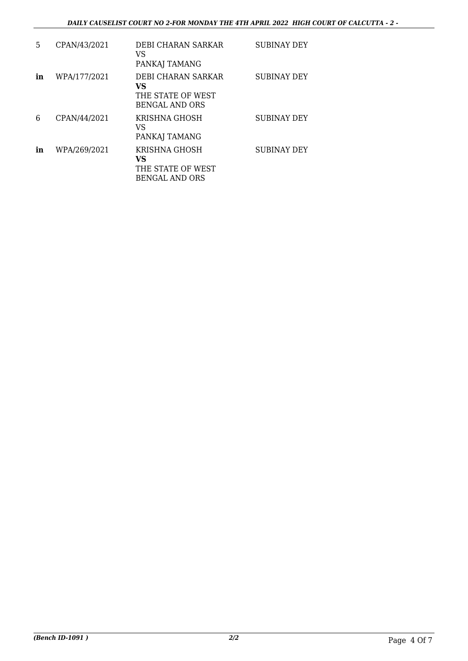| 5  | CPAN/43/2021 | DEBI CHARAN SARKAR<br>VS<br>PANKAJ TAMANG                                | <b>SUBINAY DEY</b> |
|----|--------------|--------------------------------------------------------------------------|--------------------|
| in | WPA/177/2021 | DEBI CHARAN SARKAR<br>VS<br>THE STATE OF WEST<br><b>BENGAL AND ORS</b>   | <b>SUBINAY DEY</b> |
| 6  | CPAN/44/2021 | KRISHNA GHOSH<br>VS<br>PANKAJ TAMANG                                     | <b>SUBINAY DEY</b> |
| in | WPA/269/2021 | <b>KRISHNA GHOSH</b><br>VS<br>THE STATE OF WEST<br><b>BENGAL AND ORS</b> | SUBINAY DEY        |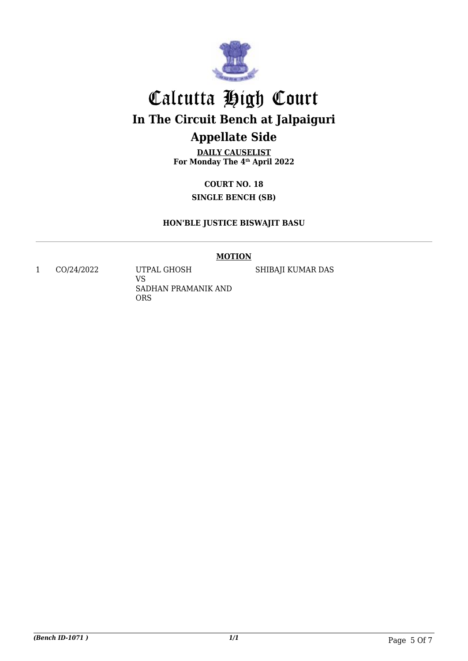

**DAILY CAUSELIST For Monday The 4th April 2022**

> **COURT NO. 18 SINGLE BENCH (SB)**

#### **HON'BLE JUSTICE BISWAJIT BASU**

#### **MOTION**

1 CO/24/2022 UTPAL GHOSH

VS SADHAN PRAMANIK AND ORS

SHIBAJI KUMAR DAS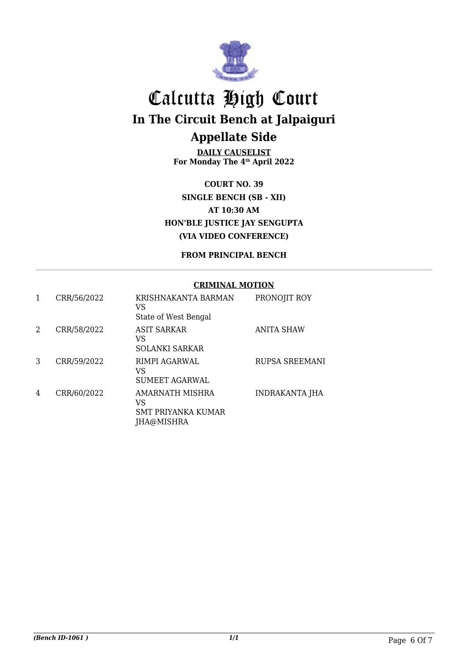

**DAILY CAUSELIST For Monday The 4th April 2022**

**COURT NO. 39 SINGLE BENCH (SB - XII) AT 10:30 AM HON'BLE JUSTICE JAY SENGUPTA (VIA VIDEO CONFERENCE)**

#### **FROM PRINCIPAL BENCH**

#### **CRIMINAL MOTION**

| 1 | CRR/56/2022 | KRISHNAKANTA BARMAN<br>VS<br>State of West Bengal                | PRONOJIT ROY          |
|---|-------------|------------------------------------------------------------------|-----------------------|
| 2 | CRR/58/2022 | <b>ASIT SARKAR</b><br>VS<br><b>SOLANKI SARKAR</b>                | <b>ANITA SHAW</b>     |
| 3 | CRR/59/2022 | RIMPI AGARWAL<br>VS<br><b>SUMEET AGARWAL</b>                     | RUPSA SREEMANI        |
| 4 | CRR/60/2022 | AMARNATH MISHRA<br>VS<br><b>SMT PRIYANKA KUMAR</b><br>JHA@MISHRA | <b>INDRAKANTA JHA</b> |